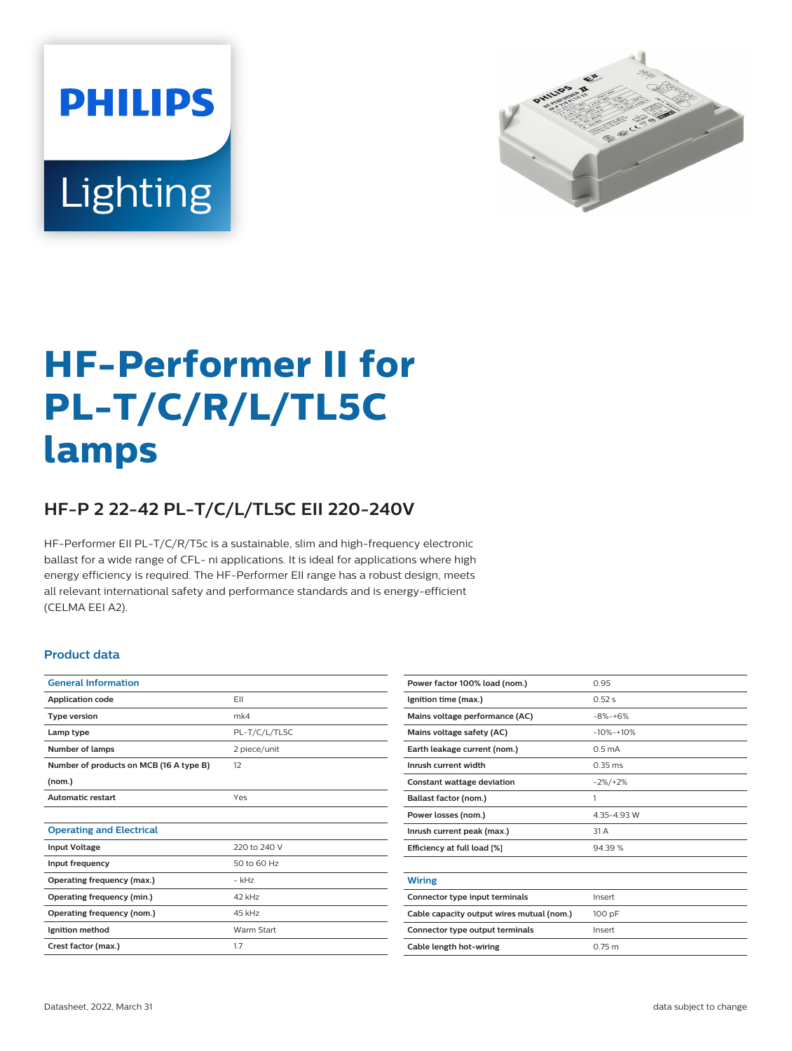



# **HF-Performer II for PL-T/C/R/L/TL5C lamps**

## **HF-P 2 22-42 PL-T/C/L/TL5C EII 220-240V**

HF-Performer EII PL-T/C/R/T5c is a sustainable, slim and high-frequency electronic ballast for a wide range of CFL- ni applications. It is ideal for applications where high energy efficiency is required. The HF-Performer EII range has a robust design, meets all relevant international safety and performance standards and is energy-efficient (CELMA EEI A2).

#### **Product data**

| <b>General Information</b>              |               |  |  |
|-----------------------------------------|---------------|--|--|
| <b>Application code</b>                 | <b>FII</b>    |  |  |
| <b>Type version</b>                     | mk4           |  |  |
| Lamp type                               | PL-T/C/L/TL5C |  |  |
| <b>Number of lamps</b>                  | 2 piece/unit  |  |  |
| Number of products on MCB (16 A type B) | 12            |  |  |
| (nom.)                                  |               |  |  |
| <b>Automatic restart</b>                | Yes           |  |  |
|                                         |               |  |  |
| <b>Operating and Electrical</b>         |               |  |  |
| <b>Input Voltage</b>                    | 220 to 240 V  |  |  |
| Input frequency                         | 50 to 60 Hz   |  |  |
| Operating frequency (max.)              | $-$ kHz       |  |  |
| Operating frequency (min.)              | 42 kHz        |  |  |
| Operating frequency (nom.)              | 45 kHz        |  |  |
| Ignition method                         | Warm Start    |  |  |
| Crest factor (max.)                     | 1.7           |  |  |
|                                         |               |  |  |

| Power factor 100% load (nom.)             | 0.95               |  |  |
|-------------------------------------------|--------------------|--|--|
| Ignition time (max.)                      | 0.52s              |  |  |
| Mains voltage performance (AC)            | $-8% - +6%$        |  |  |
| Mains voltage safety (AC)                 | $-10% -10%$        |  |  |
| Earth leakage current (nom.)              | 0.5 <sub>m</sub> A |  |  |
| Inrush current width                      | $0.35$ ms          |  |  |
| <b>Constant wattage deviation</b>         | $-2\%/+2\%$        |  |  |
| Ballast factor (nom.)                     | 1                  |  |  |
| Power losses (nom.)                       | 4.35-4.93 W        |  |  |
| Inrush current peak (max.)                | 31 A               |  |  |
| Efficiency at full load [%]               | 94.39%             |  |  |
|                                           |                    |  |  |
| Wiring                                    |                    |  |  |
| Connector type input terminals            | Insert             |  |  |
| Cable capacity output wires mutual (nom.) | 100 pF             |  |  |
| Connector type output terminals           | Insert             |  |  |
| Cable length hot-wiring                   | 0.75 m             |  |  |
|                                           |                    |  |  |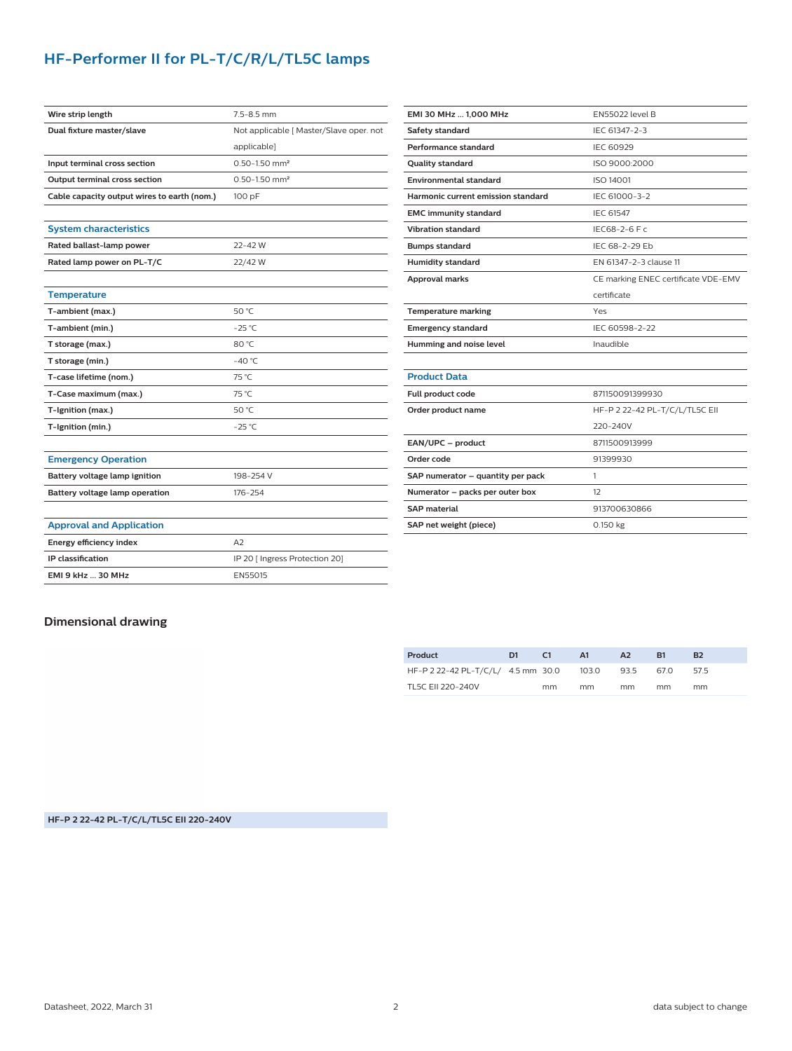## **HF-Performer II for PL-T/C/R/L/TL5C lamps**

| Wire strip length                           | 7.5-8.5 mm                              |  |  |  |  |
|---------------------------------------------|-----------------------------------------|--|--|--|--|
| Dual fixture master/slave                   | Not applicable [ Master/Slave oper. not |  |  |  |  |
|                                             | applicable]                             |  |  |  |  |
| Input terminal cross section                | $0.50 - 1.50$ mm <sup>2</sup>           |  |  |  |  |
| <b>Output terminal cross section</b>        | $0.50 - 1.50$ mm <sup>2</sup>           |  |  |  |  |
| Cable capacity output wires to earth (nom.) | 100 pF                                  |  |  |  |  |
|                                             |                                         |  |  |  |  |
| <b>System characteristics</b>               |                                         |  |  |  |  |
| Rated ballast-lamp power                    | $22 - 42$ W                             |  |  |  |  |
| Rated lamp power on PL-T/C                  | 22/42 W                                 |  |  |  |  |
|                                             |                                         |  |  |  |  |
| <b>Temperature</b>                          |                                         |  |  |  |  |
| T-ambient (max.)                            | 50 °C                                   |  |  |  |  |
| T-ambient (min.)                            | $-25$ °C                                |  |  |  |  |
| T storage (max.)                            | 80 °C                                   |  |  |  |  |
| T storage (min.)                            | $-40 °C$                                |  |  |  |  |
| T-case lifetime (nom.)                      | 75 °C                                   |  |  |  |  |
| T-Case maximum (max.)                       | 75 °C                                   |  |  |  |  |
| T-Ignition (max.)                           | 50 °C                                   |  |  |  |  |
| T-Ignition (min.)                           | $-25$ °C                                |  |  |  |  |
|                                             |                                         |  |  |  |  |
| <b>Emergency Operation</b>                  |                                         |  |  |  |  |
| Battery voltage lamp ignition               | 198-254 V                               |  |  |  |  |
| Battery voltage lamp operation              | 176-254                                 |  |  |  |  |
|                                             |                                         |  |  |  |  |
| <b>Approval and Application</b>             |                                         |  |  |  |  |
| <b>Energy efficiency index</b>              | A2                                      |  |  |  |  |
| IP classification                           | IP 20 [ Ingress Protection 20]          |  |  |  |  |
| <b>EMI 9 kHz  30 MHz</b>                    | EN55015                                 |  |  |  |  |

| <b>EN55022 level B</b>              |  |  |  |  |
|-------------------------------------|--|--|--|--|
| IFC 61347-2-3                       |  |  |  |  |
| IEC 60929                           |  |  |  |  |
| ISO 9000:2000                       |  |  |  |  |
| ISO 14001                           |  |  |  |  |
| IEC 61000-3-2                       |  |  |  |  |
| <b>IEC 61547</b>                    |  |  |  |  |
| IEC68-2-6 F c                       |  |  |  |  |
| IFC 68-2-29 Fb                      |  |  |  |  |
| EN 61347-2-3 clause 11              |  |  |  |  |
| CE marking ENEC certificate VDE-EMV |  |  |  |  |
| certificate                         |  |  |  |  |
| Yes                                 |  |  |  |  |
| IEC 60598-2-22                      |  |  |  |  |
| Inaudible                           |  |  |  |  |
|                                     |  |  |  |  |
|                                     |  |  |  |  |
| 871150091399930                     |  |  |  |  |
| HF-P 2 22-42 PL-T/C/L/TL5C EII      |  |  |  |  |
| 220-240V                            |  |  |  |  |
| 8711500913999                       |  |  |  |  |
| 91399930                            |  |  |  |  |
| 1                                   |  |  |  |  |
| 12                                  |  |  |  |  |
| 913700630866                        |  |  |  |  |
| 0.150 kg                            |  |  |  |  |
|                                     |  |  |  |  |

### **Dimensional drawing**

| Product                            | D1 | C1 | A1    | A2   | R1   | B <sub>2</sub> |
|------------------------------------|----|----|-------|------|------|----------------|
| HF-P 2 22-42 PL-T/C/L/ 4.5 mm 30.0 |    |    | 103.0 | 93.5 | 67.0 | 575            |
| TL5C EII 220-240V                  |    | mm | mm    | mm   | mm   | mm             |

**HF-P 2 22-42 PL-T/C/L/TL5C EII 220-240V**